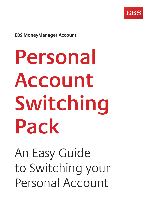

**EBS MoneyManager Account**

**Personal Account Switching Pack**

An Easy Guide to Switching your Personal Account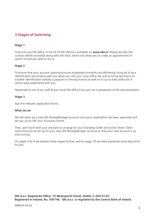### **3 Stages of Switching**

### **Stage 1**

Drop into any EBS office. A full list of EBS offices is available on **www.ebs.ie.** Please see also the contact details provided along with this Pack, which will allow you to make an appointment to switch should you wish to do so.

### **Stage 2**

To ensure that your account opening process progresses smoothly and efficiently, bring all of your identification documents with you when you visit your local office. Be sure to bring two forms of suitable identification (ideally a passport or driving licence as well as an up to date utility bill or recent bank statement) with you.

Please talk to one of our staff at your local EBS office if you are not in possession of the documentation.

### **Stage 3**

Sign the relevant application forms.

### **What we do**

We will open your new EBS MoneyManager account once your application has been approved and set you up on EBS Your Accounts Online.

Then, we'll work with your old bank to arrange for your Standing Order and active Direct Debit instructions to be set up on your new EBS MoneyManager account so that your new account is up and running.

On pages 4 to 9 we explain these stages further, and on page 10 we have explained some key terms for you.

**EBS d.a.c. Registered Office: 10 Molesworth Street, Dublin 2, D02 R126. Registered in Ireland, No. 500748. EBS d.a.c. is regulated by the Central Bank of Ireland.**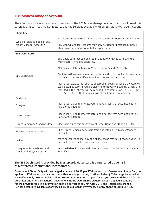### **EBS MoneyManager Account**

The information below provides an overview of the EBS MoneyManager Account. You should read this carefully as it sets out the key features and the services available with an EBS MoneyManager Account.

| Eligibility                                                  |                                                                                                                                                                                                                                                                                                          |  |  |  |  |  |
|--------------------------------------------------------------|----------------------------------------------------------------------------------------------------------------------------------------------------------------------------------------------------------------------------------------------------------------------------------------------------------|--|--|--|--|--|
| Who is eligible to open an EBS                               | Applicants must be over 18 and resident in the European Economic Area.                                                                                                                                                                                                                                   |  |  |  |  |  |
| MoneyManager Account?                                        | EBS MoneyManager Accounts may only be used for personal purposes.<br>There is a limit of 2 account-holders per account.                                                                                                                                                                                  |  |  |  |  |  |
| <b>EBS Debit Card</b>                                        |                                                                                                                                                                                                                                                                                                          |  |  |  |  |  |
|                                                              | EBS Debit Card that can be used in outlets worldwide wherever the<br>Mastercard® symbol is displayed.                                                                                                                                                                                                    |  |  |  |  |  |
|                                                              | National and International ATM and Point of Sale (POS) facilities.                                                                                                                                                                                                                                       |  |  |  |  |  |
| EBS Debit Card                                               | For International use, you must supply us with your mobile phone number,<br>which allows us to notify you for fraud prevention purposes.                                                                                                                                                                 |  |  |  |  |  |
|                                                              | Please see www.ebs.ie for a list of European countries where the Card will<br>work automatically. If you are planning to travel to a country which is not<br>included in this list, you will be required to contact us on 0818 654 328<br>or +353 1 665 8080 to request use of the Card in that country. |  |  |  |  |  |
| <b>Features</b>                                              |                                                                                                                                                                                                                                                                                                          |  |  |  |  |  |
| Charges                                                      | Please see 'Guide to Interest Rates and Charges' that accompanies this<br>Pack, for full details.                                                                                                                                                                                                        |  |  |  |  |  |
| Interest rates                                               | Please see 'Guide to Interest Rates and Charges' that accompanies this<br>Pack, for full details.                                                                                                                                                                                                        |  |  |  |  |  |
| Direct Debits and Standing Orders                            | Electronic funds transfer by way of Direct Debit and Standing Order.                                                                                                                                                                                                                                     |  |  |  |  |  |
| Single Euro Payments Area                                    | SEPA Direct Debits may be paid from and into an EBS MoneyManager<br>account.                                                                                                                                                                                                                             |  |  |  |  |  |
| Online                                                       | Make purchases online, pay bills online, make transfers between your EBS<br>accounts, keep track of your account online.                                                                                                                                                                                 |  |  |  |  |  |
| Chequebooks, Passbooks and<br>Credit Facilities / Overdrafts | Not available, however withdrawals may be made by EBS Cheque at all<br>EBS offices <sup>+</sup> .                                                                                                                                                                                                        |  |  |  |  |  |

**The EBS Debit Card is provided by Mastercard. Mastercard is a registered trademark of Mastercard International Incorporated.**

**Government Stamp Duty will be charged at a rate of €0.12 per ATM transaction. Government Stamp Duty only applies to ATM transactions carried out within Ireland (excluding Northern Ireland). This charge is capped at €2.50 if you only use your debit card for ATM transactions and capped at €5 if you use your debit card for both purchases and ATM transactions. Government Stamp Duty charge on debit cards is applied in January, for the previous year. The information above is correct as at 27th April 2018 and is subject to change. Further details are available at any local EBS, on our website www.ebs.ie, or by phone at 0818 654 322.**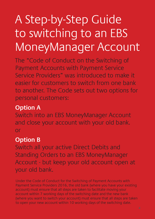# A Step-by-Step Guide to switching to an EBS MoneyManager Account

The "Code of Conduct on the Switching of Payment Accounts with Payment Service Service Providers" was introduced to make it easier for customers to switch from one bank to another. The Code sets out two options for personal customers:

# **Option A**

Switch into an EBS MoneyManager Account and close your account with your old bank. or

# **Option B**

Switch all your active Direct Debits and Standing Orders to an EBS MoneyManager Account - but keep your old account open at your old bank.

Under the Code of Conduct for the Switching of Payment Accounts with Payment Service Providers 2016, the old bank (where you have your existing account) must ensure that all steps are taken to facilitate moving your account within 7 working days of the switching date and the new bank (where you want to switch your account) must ensure that all steps are taken to open your new account within 10 working days of the switching date.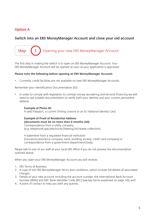# **Option A**

**Step** 

### **Switch into an EBS MoneyManager Account and close your old account**

Opening your new EBS MoneyManager Account

The first step in making the switch is to open an EBS MoneyManager Account. Your EBS MoneyManager Account will be opened as soon as your application is approved.

### **Please note the following before opening an EBS MoneyManager Account:**

• Currently, credit facilities are not available on new EBS MoneyManager Accounts.

Remember your Identification Documentation (ID)

• In order to comply with legislation to combat money laundering and terrorist financing we will need to see suitable documentation to verify both your identity and your current permanent address.

### **Example of Photo ID:**

A valid Passport, a current Driving Licence or an EU National Identity Card.

### **Example of Proof of Residential Address (documents must be no more than 6 months old):** Correspondence from a utility company

(e.g. telephone/gas/electricity/heating/oil/waste collection)

A statement from a regulated financial institution (insurance/assurance company, bank, building society, credit card company) or correspondence from a government department/body.

Please talk to one of our staff at your local EBS office if you do not possess the documentation outlined above.

When you open your EBS MoneyManager Account you will receive:

- 1. EBS Terms of Business;
- 2. A copy of the EBS MoneyManager terms and conditions, which include full details of associated charges;
- 3. Details of your new account including the account number, the International Bank Account Number (IBAN) and EBS' Bank Identifier Code (BIC) (see key terms explained on page 10); and
- 4. A point of contact to help you with any queries.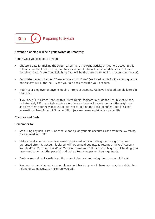

### **Advance planning will help your switch go smoothly.**

Here is what you can do to prepare:

- Choose a date for making the switch when there is low/no activity on your old account: this will minimise the level of disruption to your account. EBS will accommodate your preferred Switching Date. (Note: Your Switching Date will be the date the switching process commences).
- Complete the form headed "Transfer of Account Form" (enclosed in this Pack) your signature on this form will authorise EBS and your old bank to switch your account.
- Notify your employer or anyone lodging into your account. We have included sample letters in this Pack.
- If you have SEPA Direct Debits with a Direct Debit Originator outside the Republic of Ireland, unfortunately EBS are not able to transfer these and you will have to contact the originator and give them your new account details, not forgetting the Bank Identifier Code (BIC) and International Bank Account Number (IBAN) (see key terms explained on page 10).

### **Cheques and Cash**

### **Remember to:**

- Stop using any bank card(s) or cheque book(s) on your old account as and from the Switching Date agreed with EBS.
- Make sure all cheques you have issued on your old account have gone through: cheques presented after the account is closed will not be paid but instead returned marked "Account Switched" or "Account Closed" or "Account Transferred". If there are cheques outstanding, you may want to contact the payee(s) and make alternative payment arrangements.
- Destroy any old bank cards by cutting them in two and returning them to your old bank.
- Send any unused cheques on your old account back to your old bank: you may be entitled to a refund of Stamp Duty, so make sure you ask.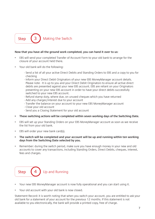

### **Now that you have all the ground work completed, you can hand it over to us:**

- EBS will send your completed Transfer of Account Form to your old bank to arrange for the closure of your account held there.
- Your old bank will do the following:
	- Send a list of all your active Direct Debits and Standing Orders to EBS and a copy to you for checking
	- Inform your Direct Debit Originators of your new EBS MoneyManager account details. Please note - It is up to you and your Direct Debit Originators to ensure all active direct debits are presented against your new EBS account. EBS are reliant on your Originators presenting on your new EBS account in order to have your direct debits successfully switched to your new EBS account.
	- Refund stamp duty, where due, on unused cheques which you have returned
	- Add any charges/interest due to your account
	- Transfer the balance on your account to your new EBS MoneyManager account
	- Close your old account
	- Send you a Closing Statement for your old account
- **• These switching actions will be completed within seven working days of the Switching Date.**
- EBS will set up your Standing Orders on your EBS MoneyManager account as soon as we receive the list from your old bank.
- EBS will order your new bank card(s).
- **• The switch will be completed and your account will be up and running within ten working days from the Switching Date selected by you.**
- Remember: during the switch period, make sure you have enough money in your new and old accounts to cover any transactions, including Standing Orders, Direct Debits, cheques, interest, fees and charges.



- Your new EBS MoneyManager account is now fully operational and you can start using it.
- Your old account with your old bank is now closed.

Statement Record: it is worth noting that when you switch your account, you are entitled to ask your old bank for a statement of your account for the previous 12 months. If this statement is not available to you electronically, the bank will provide a printed copy, free of charge.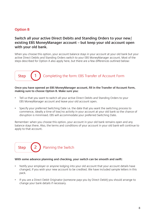# **Option B**

### **Switch all your active Direct Debits and Standing Orders to your new/ existing EBS MoneyManager account – but keep your old account open with your old bank.**

When you choose this option, your account balance stays in your account at your old bank but your active Direct Debits and Standing Orders switch to your EBS MoneyManager account. Most of the steps described for Option A also apply here, but there are a few differences outlined below:

# **Step** Completing the form: EBS Transfer of Account Form

### **Once you have opened an EBS MoneyManager account, fill in the Transfer of Account Form, making sure to choose Option B. Make sure you:**

- Tell us that you want to switch all your active Direct Debits and Standing Orders to your EBS MoneyManager account and leave your old account open.
- Specify your preferred Switching Date i.e. the date that you want the switching process to commence, ideally a time of low/no activity in your account at your old bank so the chance of disruption is minimised. EBS will accommodate your preferred Switching Date.

Remember: when you choose this option, your account in your old bank remains open and any balance stays there. Also, the terms and conditions of your account in your old bank will continue to apply to that account.



### **With some advance planning and checking, your switch can be smooth and swift:**

- Notify your employer or anyone lodging into your old account that your account details have changed, if you wish your new account to be credited. We have included sample letters in this pack.
- If you are a Direct Debit Originator (someone pays you by Direct Debit) you should arrange to change your bank details if necessary.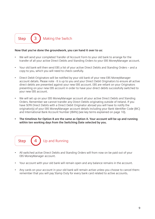

### **Now that you've done the groundwork, you can hand it over to us:**

- We will send your completed Transfer of Account Form to your old bank to arrange for the transfer of all your active Direct Debits and Standing Orders to your EBS MoneyManager account.
- Your old bank will then send EBS a list of your active Direct Debits and Standing Orders and a copy to you, which you will need to check carefully.
- Direct Debit Originators will be notified by your old bank of your new EBS MoneyManager account details. Please note - It is up to you and your Direct Debit Originators to ensure all active direct debits are presented against your new EBS account. EBS are reliant on your Originators presenting on your new EBS account in order to have your direct debits successfully switched to your new EBS account.
- We will set up on your EBS MoneyManager account all your active Direct Debits and Standing Orders. Remember we cannot transfer any Direct Debits originating outside of Ireland. If you have SEPA Direct Debits with a Direct Debit Originator abroad you will have to notify the originator(s) of your EBS MoneyManager account details including your Bank Identifier Code (BIC) and International Bank Account Number (IBAN) (see key terms explained on page 10).
- **• The timelines for Option B are the same as Option A. Your account will be up and running within ten working days from the Switching Date selected by you.**



- All switched active Direct Debits and Standing Orders will from now on be paid out of your EBS MoneyManager account.
- Your account with your old bank will remain open and any balance remains in the account.
- Any cards on your account in your old bank will remain active unless you choose to cancel them: remember that you will pay Stamp Duty for every bank card related to active accounts**.**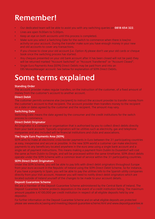# **Remember!**

- Our dedicated team will be able to assist you with any switching queries on **0818 654 322**.
- Lines are open 9.00am to 5.00pm.
- Keep an eye on both accounts until this process is completed.
- Make sure you select a Switching Date for the switch to commence when there is low/no activity on your account. During the transfer make sure you have enough money in your new and old accounts to cover any transactions.
- If you choose to close your old account (i.e. Option A) please don't use your old cards or cheque book once the switching process has started.
- Any cheques presented on your old bank account after it has been closed will not be paid; they will be returned marked "Account Switched" or "Account Transferred" or "Account Closed".
- Single Euro Payments Area (SEPA) Direct Debits may be paid from and into an EBS MoneyManager account. See below for explanation of SEPA Direct Debits.

# **Some terms explained**

### **Standing Order**

The account provider makes regular transfers, on the instruction of the customer, of a fixed amount of money from the customer's account to another account.

### **Direct Debit**

The customer permits someone else (recipient) to instruct the account provider to transfer money from the customer's account to that recipient. The account provider then transfers money to the recipient on a date or dates agreed by the customer and the recipient. The amount may vary.

### **Switching Date**

Switching Date means the date agreed by the consumer and the credit institutions for the switch process to commence.

### **Direct Debit Originator**

An Originator is a company or organisation that is authorised by you to collect direct debits directly from your bank account. Typically originators will be utilities such as electricity, gas and telephone companies and also included will be financial institutions and clubs and associations.

### **The Single Euro Payments Area (SEPA)**

SEPA aims to make all electronic cross-border payments in Euro between the 31 participating countries as easy, inexpensive and secure as possible. In the new SEPA world a customer can make electronic payments to any beneficiary located anywhere in the euro area using a single bank account and a single set of payment instructions. This means making a payment from Dublin to Dusseldorf will cost the same as from Dublin to Dingle, and will be processed within the same timeframe. SEPA direct debits operate under the SEPA Scheme with a common level of service within the 31 participating countries.

### **SEPA Direct Debit Originators**

Under the SEPA Scheme, you will be able to pay bills with direct debit originators throughout Europe from your euro account in the Republic of Ireland using the SEPA Direct Debit Scheme. So for instance, if you have a property in Spain, you will be able to pay the utilities bills to the Spanish utility companies directly from your Irish account. However you will need to notify direct debit originators which are located outside of Ireland yourself of the changes to be made to your account details.

### **Deposit Guarantee Scheme**

We are a member of the Deposit Guarantee Scheme administered by the Central Bank of Ireland. The Deposit Guarantee Scheme protects depositors in the event of a credit institution failing. The maximum amount payable is  $\epsilon$ 100,000 per credit institution in respect of all eligible deposits held by one depositor.

For further information on the Deposit Guarantee Scheme and on what eligible deposits are protected please see www.ebs.ie/saving-and-investing/deposit-guarantee-scheme.html and www.depositguarantee.ie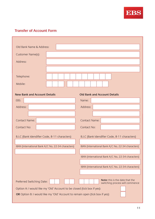

# **Transfer of Account Form**

| Old Bank Name & Address:                                                            |  |                                                                    |  |  |  |  |
|-------------------------------------------------------------------------------------|--|--------------------------------------------------------------------|--|--|--|--|
| Customer Name(s):                                                                   |  |                                                                    |  |  |  |  |
| Address:                                                                            |  |                                                                    |  |  |  |  |
|                                                                                     |  |                                                                    |  |  |  |  |
| Telephone:                                                                          |  |                                                                    |  |  |  |  |
| Mobile:                                                                             |  |                                                                    |  |  |  |  |
| <b>New Bank and Account Details</b>                                                 |  | <b>Old Bank and Account Details</b>                                |  |  |  |  |
| EBS:                                                                                |  | Name:                                                              |  |  |  |  |
| Address:                                                                            |  | Address:                                                           |  |  |  |  |
|                                                                                     |  |                                                                    |  |  |  |  |
| <b>Contact Name:</b>                                                                |  | <b>Contact Name:</b>                                               |  |  |  |  |
| Contact No:                                                                         |  | Contact No:                                                        |  |  |  |  |
| B.I.C (Bank Idendifier Code, 8-11 characters)                                       |  | B.I.C (Bank Idendifier Code, 8-11 characters)                      |  |  |  |  |
|                                                                                     |  |                                                                    |  |  |  |  |
| IBAN (International Bank A/C No, 22-34 characters)                                  |  | IBAN (International Bank A/C No, 22-34 characters)                 |  |  |  |  |
|                                                                                     |  | IBAN (International Bank A/C No, 22-34 characters)                 |  |  |  |  |
|                                                                                     |  | IBAN (International Bank A/C No, 22-34 characters)                 |  |  |  |  |
|                                                                                     |  |                                                                    |  |  |  |  |
| Preferred Switching Date:                                                           |  | Note: this is the date that the<br>switching process will commence |  |  |  |  |
| Option A: I would like my 'Old' Account to be closed (tick box if yes):             |  |                                                                    |  |  |  |  |
| <b>OR</b> Option B: I would like my 'Old' Account to remain open (tick box if yes): |  |                                                                    |  |  |  |  |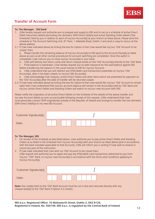# **Transfer of Account Form**

#### **To: The Manager, 'Old Bank'**

- 1. I/We hereby request and authorise you to prepare and supply to EBS and to me/us a schedule of active Direct Debit instruction details (excluding non domestic SEPA Direct Debits) and active Standing Order details ('the Schedule') held by you in relation to each of my/our Account(s) at your branch as listed above. Please send this schedule to The Account Switching Unit, 6<sup>th</sup> Floor, 1 Adelaide Road, Dublin 2 and send a copy to me/us at the above address.
- 2.1 If I/we have indicated above by ticking the box for Option A that I/we would like my/our 'Old' Account to be closed, then;

a. Please transfer the remaining balance of my/our Account(s) to EBS (and to the Account thereat) as listed above as soon as all other normal procedures for account switching are completed. Once this switch is completed, I/we instruct you to close my/our Account(s) in your bank.

b. I/We will destroy and return cards and return cheque books on the 'Old' Account(s) directly to the 'Old' Bank.

c. If the balance is overdrawn, I/we hereby request you to seek clearance for the said balance against EBS before transferring the balance in the usual manner to EBS for my/our Account.

d. I/We understand that you will redirect any ATM/debit card transactions presented on my/our 'Old' Account(s), after it has been closed, to my/our EBS Account(s).

e. I/We acknowledge that cheques, active Direct Debits and other items which are presented for payment on the 'Old' Account(s) after the date of transfer will be returned unpaid.

2.2 If I/we have indicated above by ticking the box for Option B that I/we would like my/our 'Old' Account to remain open then I/we understand that my/our account balance will remain in the Account(s) held by 'Old' Bank and my/our active Direct Debits and Standing Orders will switch to my/our new Account with EBS.

Please notify the originators of all active Direct Debits on the Schedule of the details of the above transfer and my new Account details as soon as practicable following receipt of this request. I/We understand that I/we must personally contact SEPA originator(s) outside of the Republic of Ireland and arrange to transfer the non domestic SEPA Direct Debit(s) to my new EBS Account.

| Customer Signature(s): |  |  |  |  |  |
|------------------------|--|--|--|--|--|
| Date:                  |  |  |  |  |  |

#### **To: The Manager, EBS**

- 1. On receipt of the Schedule as described above, I/we authorise you to pay active Direct Debits and Standing Orders as so listed in the Schedule from my/our Account(s) with your branch as listed above (and in accordance with the bank mandate applicable to that Account). I/We will inform you in writing if I/we wish to amend or cancel any part of this instruction.
- 2. If I/we have indicated that I/we wish my 'Old' Account to be closed then; I/We request and authorise you to apply and pay any ATM/debit card transactions redirected to you from my/our "Old" Bank, to my/our new Account(s) in accordance with the Terms and Conditions applying to my/our Account(s).

| Customer Signature(s): |  |  |  |  |  |  |  |  |  |  |
|------------------------|--|--|--|--|--|--|--|--|--|--|
| Date:                  |  |  |  |  |  |  |  |  |  |  |

**Note:** Any card(s) held on the 'Old' Bank Account must be cut in two and returned directly with any cheque book(s) to the 'Old' Bank if Option A is chosen.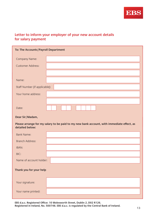

# **Letter to inform your employer of your new account details for salary payment**

| To: The Accounts/Payroll Department |                                                                                           |
|-------------------------------------|-------------------------------------------------------------------------------------------|
| Company Name:                       |                                                                                           |
| <b>Customer Address:</b>            |                                                                                           |
|                                     |                                                                                           |
| Name:                               |                                                                                           |
| Staff Number (if applicable):       |                                                                                           |
| Your home address:                  |                                                                                           |
|                                     |                                                                                           |
| Date:                               |                                                                                           |
| Dear Sir/Madam,                     |                                                                                           |
|                                     |                                                                                           |
| detailed below:                     | Please arrange for my salary to be paid to my new bank account, with immediate effect, as |
| <b>Bank Name:</b>                   |                                                                                           |
| <b>Branch Address:</b>              |                                                                                           |
| IBAN:                               |                                                                                           |
| BIC:                                |                                                                                           |
| Name of account holder:             |                                                                                           |
| Thank you for your help             |                                                                                           |
| Your signature:                     |                                                                                           |

**EBS d.a.c. Registered Office: 10 Molesworth Street, Dublin 2, D02 R126. Registered in Ireland, No. 500748. EBS d.a.c. is regulated by the Central Bank of Ireland.**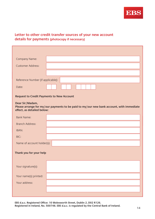

# **Letter to other credit transfer sources of your new account details for payments (photocopy if necessary)**

| Company Name:                                    |                                                                                          |
|--------------------------------------------------|------------------------------------------------------------------------------------------|
| <b>Customer Address:</b>                         |                                                                                          |
|                                                  |                                                                                          |
| Reference Number (if applicable):                |                                                                                          |
| Date:                                            |                                                                                          |
|                                                  |                                                                                          |
| <b>Request to Credit Payments to New Account</b> |                                                                                          |
| Dear Sir/Madam,                                  | Please arrange for my/our payments to be paid to my/our new bank account, with immediate |
| effect, as detailed below:                       |                                                                                          |
| <b>Bank Name:</b>                                |                                                                                          |
| <b>Branch Address:</b>                           |                                                                                          |
| IBAN:                                            |                                                                                          |
| BIC:                                             |                                                                                          |
| Name of account holder(s):                       |                                                                                          |
| Thank you for your help                          |                                                                                          |
|                                                  |                                                                                          |
|                                                  |                                                                                          |
| Your signature(s):                               |                                                                                          |
| Your name(s) printed:                            |                                                                                          |
| Your address:                                    |                                                                                          |
|                                                  |                                                                                          |
|                                                  |                                                                                          |

**EBS d.a.c. Registered Office: 10 Molesworth Street, Dublin 2, D02 R126. Registered in Ireland, No. 500748. EBS d.a.c. is regulated by the Central Bank of Ireland.**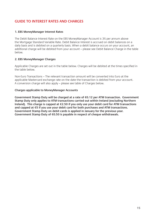# **GUIDE TO INTEREST RATES AND CHARGES**

### **1. EBS MoneyManager Interest Rates**

The Debit Balance Interest Rate on the EBS MoneyManager Account is 3% per annum above the Mortgage Standard Variable Rate. Debit Balance Interest is accrued on debit balances on a daily basis and is debited on a quarterly basis. When a debit balance occurs on your account, an additional charge will be debited from your account – please see Debit Balance Charge in the table below.

### **2. EBS MoneyManager Charges**

Applicable Charges are set out in the table below. Charges will be debited at the times specified in the table below.

Non-Euro Transactions – The relevant transaction amount will be converted into Euro at the applicable Mastercard exchange rate on the date the transaction is debited from your account. A conversion charge will also apply – please see table of Charges below.

### **Charges applicable to MoneyManager Accounts**

**Government Stamp Duty will be charged at a rate of €0.12 per ATM transaction. Government Stamp Duty only applies to ATM transactions carried out within Ireland (excluding Northern Ireland). This charge is capped at €2.50 if you only use your debit card for ATM transactions and capped at €5 if you use your debit card for both purchases and ATM transactions. Government Stamp Duty on debit cards is applied in January for the previous year. Government Stamp Duty of €0.50 is payable in respect of cheque withdrawals.**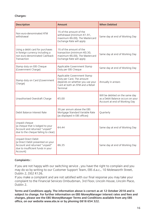### **Charges:**

| <b>Description</b>                                                                                                                         | <b>Amount</b>                                                                                                                               | <b>When Debited</b>                                                                                   |
|--------------------------------------------------------------------------------------------------------------------------------------------|---------------------------------------------------------------------------------------------------------------------------------------------|-------------------------------------------------------------------------------------------------------|
| Non euro-denominated ATM<br>withdrawal                                                                                                     | 1% of the amount of the<br>withdrawal (minimum $£1.91$ ,<br>maximum €6.00). The Mastercard<br>Exchange Rate will apply                      | Same day at end of Working Day                                                                        |
| Using a debit card for purchases<br>in foreign currency including a<br>non euro-denominated Cashback<br>Transaction                        | 1% of the amount of the<br>transaction (minimum €0.30,<br>maximum €6.00). The Mastercard<br>Exchange Rate will apply                        | Same day at end of Working Day                                                                        |
| Stamp duty on EBS Cheque<br>(Government Charge)                                                                                            | Applicable Government Stamp<br>Duty per EBS Cheque                                                                                          | Same day at end of Working Day                                                                        |
| Stamp duty on Card (Government<br>Charge)                                                                                                  | Applicable Government Stamp<br>Duty per Card. The amount<br>depends on whether you use your<br>Card at both an ATM and a Retail<br>Terminal | Annually in arrears                                                                                   |
| Unauthorised Overdraft Charge                                                                                                              | €5.00                                                                                                                                       | Will be debited on the same day<br>as a Debit Balance occurs on your<br>Account at end of Working Day |
| Debit Balance Interest Rate                                                                                                                | 3% per annum above the EBS<br>Mortgage Standard Variable Rate<br>(as displayed in EBS offices)                                              | Quarterly                                                                                             |
| Unpaid cheque<br>(a cheque that is lodged to your<br>Account and returned "unpaid"<br>due to the cheque failing to clear)                  | €4.44                                                                                                                                       | Same day at end of Working Day                                                                        |
| Unpaid Direct Debit<br>(a Direct Debit presented on your<br>Account and returned "unpaid"<br>due to insufficient funds in your<br>Account) | €6.35                                                                                                                                       | Same day at end of Working Day                                                                        |

### **Complaints :**

If you are not happy with our switching service , you have the right to complain and you may do so by writing to our Customer Support Team, EBS d.a.c., 10 Molesworth Street, Dublin 2, D02 R126.

If you make a complaint and are not satisfied with our final response you may take your complaint to the Financial Services Ombudsman, 3rd Floor, Lincoln House, Lincoln Place, Dublin 2.

**Terms and Conditions apply. The information above is correct as at 12 October 2018 and is subject to change. For further information on EBS MoneyManager interest rates and fees and charges, please see the EBS MoneyManager Terms and Conditions available from any EBS office, on our website www.ebs.ie or by phoning 0818 654 322.**